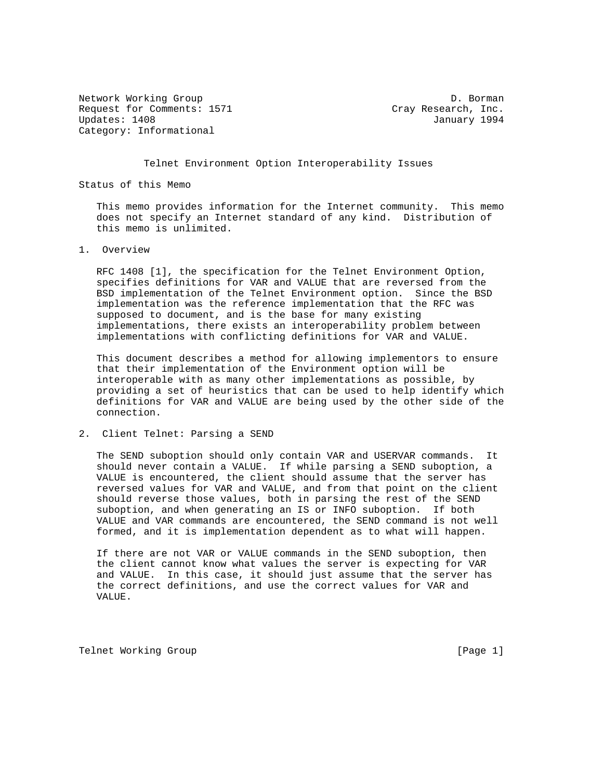Network Working Group D. Borman Request for Comments: 1571 Cray Research, Inc. Updates: 1408 January 1994 Category: Informational

Telnet Environment Option Interoperability Issues

Status of this Memo

 This memo provides information for the Internet community. This memo does not specify an Internet standard of any kind. Distribution of this memo is unlimited.

1. Overview

 RFC 1408 [1], the specification for the Telnet Environment Option, specifies definitions for VAR and VALUE that are reversed from the BSD implementation of the Telnet Environment option. Since the BSD implementation was the reference implementation that the RFC was supposed to document, and is the base for many existing implementations, there exists an interoperability problem between implementations with conflicting definitions for VAR and VALUE.

 This document describes a method for allowing implementors to ensure that their implementation of the Environment option will be interoperable with as many other implementations as possible, by providing a set of heuristics that can be used to help identify which definitions for VAR and VALUE are being used by the other side of the connection.

## 2. Client Telnet: Parsing a SEND

 The SEND suboption should only contain VAR and USERVAR commands. It should never contain a VALUE. If while parsing a SEND suboption, a VALUE is encountered, the client should assume that the server has reversed values for VAR and VALUE, and from that point on the client should reverse those values, both in parsing the rest of the SEND suboption, and when generating an IS or INFO suboption. If both VALUE and VAR commands are encountered, the SEND command is not well formed, and it is implementation dependent as to what will happen.

 If there are not VAR or VALUE commands in the SEND suboption, then the client cannot know what values the server is expecting for VAR and VALUE. In this case, it should just assume that the server has the correct definitions, and use the correct values for VAR and VALUE.

Telnet Working Group and the contract of the contract of the contract of the contract of the contract of the contract of the contract of the contract of the contract of the contract of the contract of the contract of the c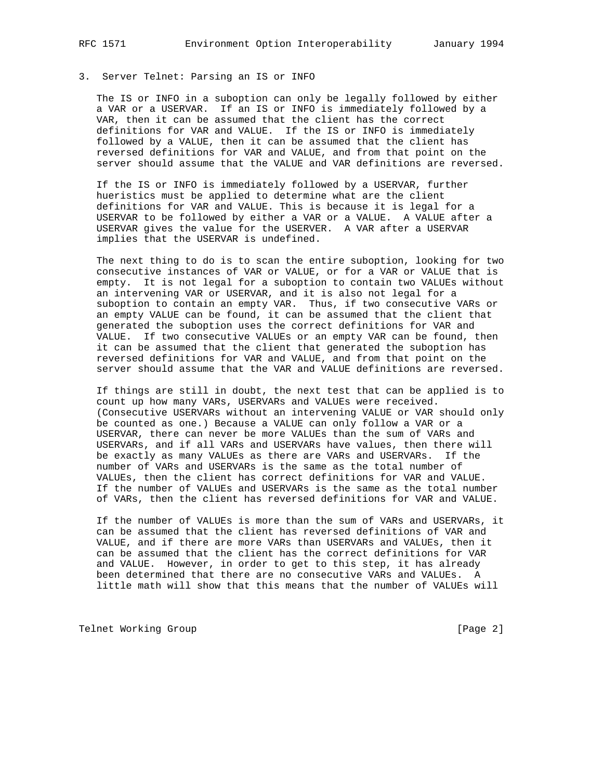## 3. Server Telnet: Parsing an IS or INFO

 The IS or INFO in a suboption can only be legally followed by either a VAR or a USERVAR. If an IS or INFO is immediately followed by a VAR, then it can be assumed that the client has the correct definitions for VAR and VALUE. If the IS or INFO is immediately followed by a VALUE, then it can be assumed that the client has reversed definitions for VAR and VALUE, and from that point on the server should assume that the VALUE and VAR definitions are reversed.

 If the IS or INFO is immediately followed by a USERVAR, further hueristics must be applied to determine what are the client definitions for VAR and VALUE. This is because it is legal for a USERVAR to be followed by either a VAR or a VALUE. A VALUE after a USERVAR gives the value for the USERVER. A VAR after a USERVAR implies that the USERVAR is undefined.

 The next thing to do is to scan the entire suboption, looking for two consecutive instances of VAR or VALUE, or for a VAR or VALUE that is empty. It is not legal for a suboption to contain two VALUEs without an intervening VAR or USERVAR, and it is also not legal for a suboption to contain an empty VAR. Thus, if two consecutive VARs or an empty VALUE can be found, it can be assumed that the client that generated the suboption uses the correct definitions for VAR and VALUE. If two consecutive VALUEs or an empty VAR can be found, then it can be assumed that the client that generated the suboption has reversed definitions for VAR and VALUE, and from that point on the server should assume that the VAR and VALUE definitions are reversed.

 If things are still in doubt, the next test that can be applied is to count up how many VARs, USERVARs and VALUEs were received. (Consecutive USERVARs without an intervening VALUE or VAR should only be counted as one.) Because a VALUE can only follow a VAR or a USERVAR, there can never be more VALUEs than the sum of VARs and USERVARs, and if all VARs and USERVARs have values, then there will be exactly as many VALUEs as there are VARs and USERVARs. If the number of VARs and USERVARs is the same as the total number of VALUEs, then the client has correct definitions for VAR and VALUE. If the number of VALUEs and USERVARs is the same as the total number of VARs, then the client has reversed definitions for VAR and VALUE.

 If the number of VALUEs is more than the sum of VARs and USERVARs, it can be assumed that the client has reversed definitions of VAR and VALUE, and if there are more VARs than USERVARs and VALUEs, then it can be assumed that the client has the correct definitions for VAR and VALUE. However, in order to get to this step, it has already been determined that there are no consecutive VARs and VALUEs. A little math will show that this means that the number of VALUEs will

Telnet Working Group **by the Contract Contract Contract Contract Contract Contract Contract Contract Contract Contract Contract Contract Contract Contract Contract Contract Contract Contract Contract Contract Contract Cont**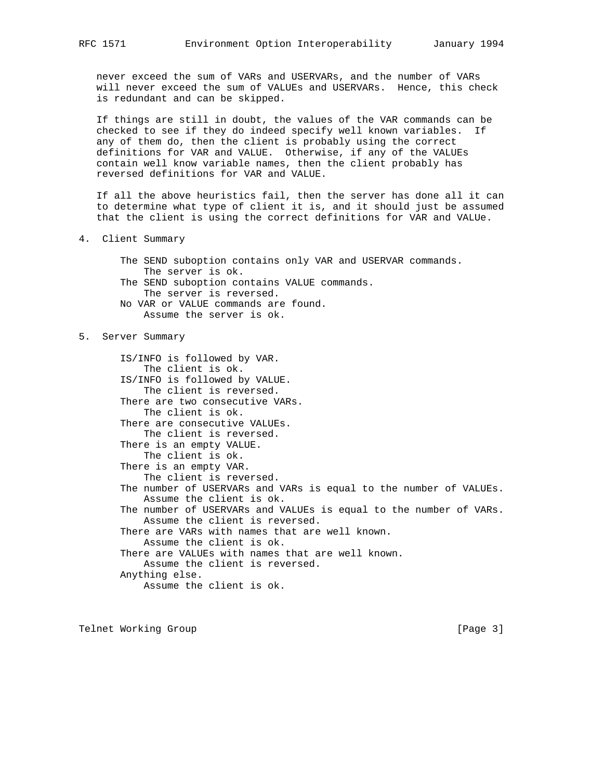never exceed the sum of VARs and USERVARs, and the number of VARs will never exceed the sum of VALUEs and USERVARs. Hence, this check is redundant and can be skipped.

 If things are still in doubt, the values of the VAR commands can be checked to see if they do indeed specify well known variables. If any of them do, then the client is probably using the correct definitions for VAR and VALUE. Otherwise, if any of the VALUEs contain well know variable names, then the client probably has reversed definitions for VAR and VALUE.

 If all the above heuristics fail, then the server has done all it can to determine what type of client it is, and it should just be assumed that the client is using the correct definitions for VAR and VALUe.

- 4. Client Summary
	- The SEND suboption contains only VAR and USERVAR commands. The server is ok.
	- The SEND suboption contains VALUE commands. The server is reversed.
	- No VAR or VALUE commands are found. Assume the server is ok.

## 5. Server Summary

 IS/INFO is followed by VAR. The client is ok. IS/INFO is followed by VALUE. The client is reversed. There are two consecutive VARs. The client is ok. There are consecutive VALUEs. The client is reversed. There is an empty VALUE. The client is ok. There is an empty VAR. The client is reversed. The number of USERVARs and VARs is equal to the number of VALUEs. Assume the client is ok. The number of USERVARs and VALUEs is equal to the number of VARs. Assume the client is reversed. There are VARs with names that are well known. Assume the client is ok. There are VALUEs with names that are well known. Assume the client is reversed. Anything else. Assume the client is ok.

Telnet Working Group and the contract of the contract of the contract of the contract of the contract of the contract of the contract of the contract of the contract of the contract of the contract of the contract of the c